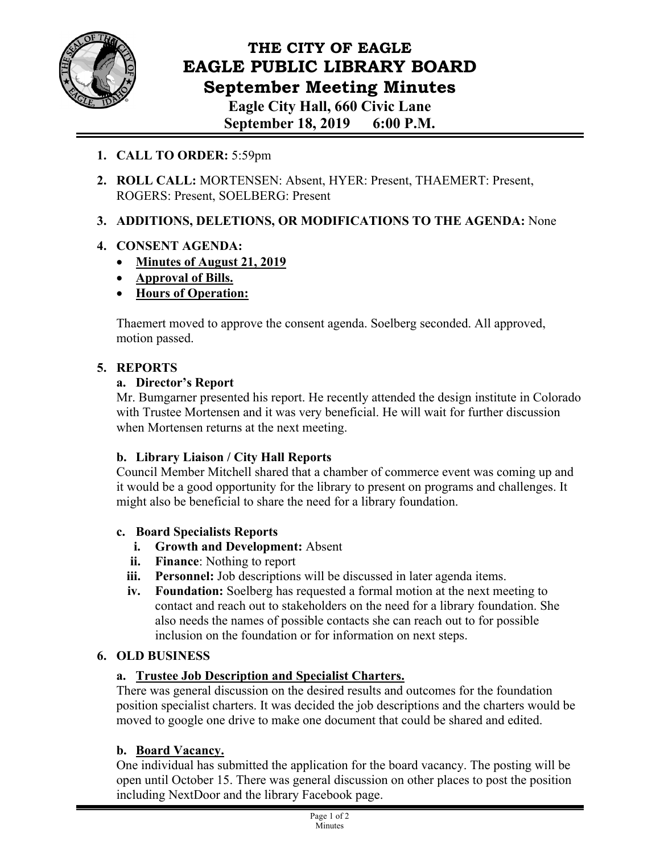

# **THE CITY OF EAGLE EAGLE PUBLIC LIBRARY BOARD September Meeting Minutes Eagle City Hall, 660 Civic Lane**

**September 18, 2019 6:00 P.M.** 

- **1. CALL TO ORDER:** 5:59pm
- **2. ROLL CALL:** MORTENSEN: Absent, HYER: Present, THAEMERT: Present, ROGERS: Present, SOELBERG: Present

## **3. ADDITIONS, DELETIONS, OR MODIFICATIONS TO THE AGENDA:** None

## **4. CONSENT AGENDA:**

- **Minutes of August 21, 2019**
- **Approval of Bills.**
- **Hours of Operation:**

Thaemert moved to approve the consent agenda. Soelberg seconded. All approved, motion passed.

## **5. REPORTS**

## **a. Director's Report**

Mr. Bumgarner presented his report. He recently attended the design institute in Colorado with Trustee Mortensen and it was very beneficial. He will wait for further discussion when Mortensen returns at the next meeting.

## **b. Library Liaison / City Hall Reports**

Council Member Mitchell shared that a chamber of commerce event was coming up and it would be a good opportunity for the library to present on programs and challenges. It might also be beneficial to share the need for a library foundation.

## **c. Board Specialists Reports**

- **i. Growth and Development:** Absent
- **ii. Finance**: Nothing to report
- **iii. Personnel:** Job descriptions will be discussed in later agenda items.
- **iv. Foundation:** Soelberg has requested a formal motion at the next meeting to contact and reach out to stakeholders on the need for a library foundation. She also needs the names of possible contacts she can reach out to for possible inclusion on the foundation or for information on next steps.

## **6. OLD BUSINESS**

## **a. Trustee Job Description and Specialist Charters.**

There was general discussion on the desired results and outcomes for the foundation position specialist charters. It was decided the job descriptions and the charters would be moved to google one drive to make one document that could be shared and edited.

## **b. Board Vacancy.**

One individual has submitted the application for the board vacancy. The posting will be open until October 15. There was general discussion on other places to post the position including NextDoor and the library Facebook page.